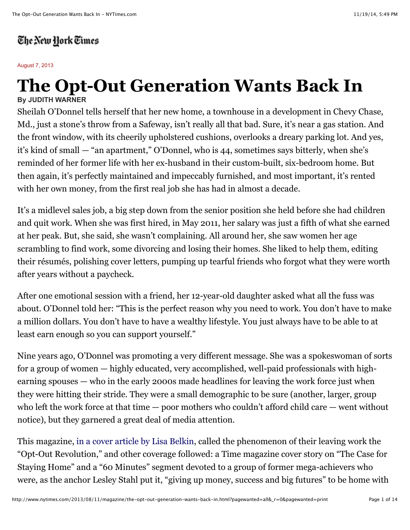## The New York Times

August 7, 2013

## **The Opt-Out Generation Wants Back In**

## **By JUDITH WARNER**

Sheilah O'Donnel tells herself that her new home, a townhouse in a development in Chevy Chase, Md., just a stone's throw from a Safeway, isn't really all that bad. Sure, it's near a gas station. And the front window, with its cheerily upholstered cushions, overlooks a dreary parking lot. And yes, it's kind of small — "an apartment," O'Donnel, who is 44, sometimes says bitterly, when she's reminded of her former life with her ex-husband in their custom-built, six-bedroom home. But then again, it's perfectly maintained and impeccably furnished, and most important, it's rented with her own money, from the first real job she has had in almost a decade.

It's a midlevel sales job, a big step down from the senior position she held before she had children and quit work. When she was first hired, in May 2011, her salary was just a fifth of what she earned at her peak. But, she said, she wasn't complaining. All around her, she saw women her age scrambling to find work, some divorcing and losing their homes. She liked to help them, editing their résumés, polishing cover letters, pumping up tearful friends who forgot what they were worth after years without a paycheck.

After one emotional session with a friend, her 12-year-old daughter asked what all the fuss was about. O'Donnel told her: "This is the perfect reason why you need to work. You don't have to make a million dollars. You don't have to have a wealthy lifestyle. You just always have to be able to at least earn enough so you can support yourself."

Nine years ago, O'Donnel was promoting a very different message. She was a spokeswoman of sorts for a group of women — highly educated, very accomplished, well-paid professionals with highearning spouses — who in the early 2000s made headlines for leaving the work force just when they were hitting their stride. They were a small demographic to be sure (another, larger, group who left the work force at that time — poor mothers who couldn't afford child care — went without notice), but they garnered a great deal of media attention.

This magazine, [in a cover article by Lisa Belkin,](http://www.nytimes.com/2013/08/11/magazine/the-opt-out-revolution.html) called the phenomenon of their leaving work the "Opt-Out Revolution," and other coverage followed: a Time magazine cover story on "The Case for Staying Home" and a "60 Minutes" segment devoted to a group of former mega-achievers who were, as the anchor Lesley Stahl put it, "giving up money, success and big futures" to be home with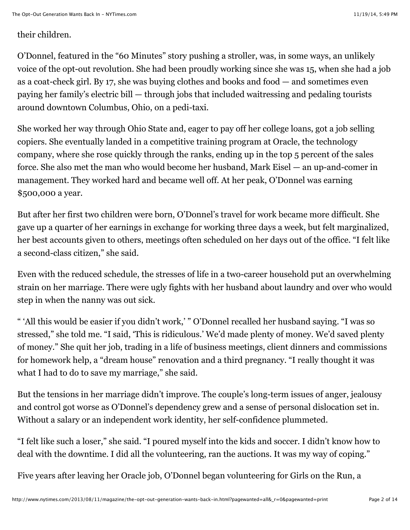## their children.

O'Donnel, featured in the "60 Minutes" story pushing a stroller, was, in some ways, an unlikely voice of the opt-out revolution. She had been proudly working since she was 15, when she had a job as a coat-check girl. By 17, she was buying clothes and books and food — and sometimes even paying her family's electric bill — through jobs that included waitressing and pedaling tourists around downtown Columbus, Ohio, on a pedi-taxi.

She worked her way through Ohio State and, eager to pay off her college loans, got a job selling copiers. She eventually landed in a competitive training program at Oracle, the technology company, where she rose quickly through the ranks, ending up in the top 5 percent of the sales force. She also met the man who would become her husband, Mark Eisel — an up-and-comer in management. They worked hard and became well off. At her peak, O'Donnel was earning \$500,000 a year.

But after her first two children were born, O'Donnel's travel for work became more difficult. She gave up a quarter of her earnings in exchange for working three days a week, but felt marginalized, her best accounts given to others, meetings often scheduled on her days out of the office. "I felt like a second-class citizen," she said.

Even with the reduced schedule, the stresses of life in a two-career household put an overwhelming strain on her marriage. There were ugly fights with her husband about laundry and over who would step in when the nanny was out sick.

" 'All this would be easier if you didn't work,' " O'Donnel recalled her husband saying. "I was so stressed," she told me. "I said, 'This is ridiculous.' We'd made plenty of money. We'd saved plenty of money." She quit her job, trading in a life of business meetings, client dinners and commissions for homework help, a "dream house" renovation and a third pregnancy. "I really thought it was what I had to do to save my marriage," she said.

But the tensions in her marriage didn't improve. The couple's long-term issues of anger, jealousy and control got worse as O'Donnel's dependency grew and a sense of personal dislocation set in. Without a salary or an independent work identity, her self-confidence plummeted.

"I felt like such a loser," she said. "I poured myself into the kids and soccer. I didn't know how to deal with the downtime. I did all the volunteering, ran the auctions. It was my way of coping."

Five years after leaving her Oracle job, O'Donnel began volunteering for Girls on the Run, a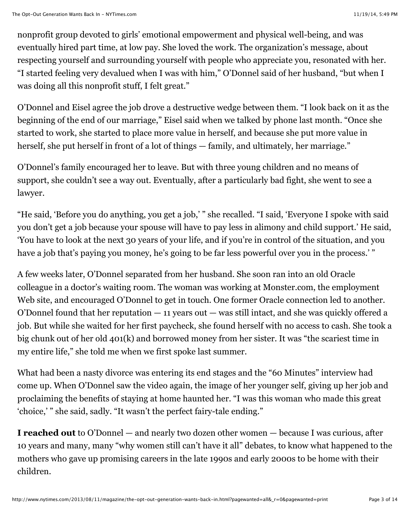nonprofit group devoted to girls' emotional empowerment and physical well-being, and was eventually hired part time, at low pay. She loved the work. The organization's message, about respecting yourself and surrounding yourself with people who appreciate you, resonated with her. "I started feeling very devalued when I was with him," O'Donnel said of her husband, "but when I was doing all this nonprofit stuff, I felt great."

O'Donnel and Eisel agree the job drove a destructive wedge between them. "I look back on it as the beginning of the end of our marriage," Eisel said when we talked by phone last month. "Once she started to work, she started to place more value in herself, and because she put more value in herself, she put herself in front of a lot of things — family, and ultimately, her marriage."

O'Donnel's family encouraged her to leave. But with three young children and no means of support, she couldn't see a way out. Eventually, after a particularly bad fight, she went to see a lawyer.

"He said, 'Before you do anything, you get a job,' " she recalled. "I said, 'Everyone I spoke with said you don't get a job because your spouse will have to pay less in alimony and child support.' He said, 'You have to look at the next 30 years of your life, and if you're in control of the situation, and you have a job that's paying you money, he's going to be far less powerful over you in the process.'"

A few weeks later, O'Donnel separated from her husband. She soon ran into an old Oracle colleague in a doctor's waiting room. The woman was working at Monster.com, the employment Web site, and encouraged O'Donnel to get in touch. One former Oracle connection led to another. O'Donnel found that her reputation — 11 years out — was still intact, and she was quickly offered a job. But while she waited for her first paycheck, she found herself with no access to cash. She took a big chunk out of her old 401(k) and borrowed money from her sister. It was "the scariest time in my entire life," she told me when we first spoke last summer.

What had been a nasty divorce was entering its end stages and the "60 Minutes" interview had come up. When O'Donnel saw the video again, the image of her younger self, giving up her job and proclaiming the benefits of staying at home haunted her. "I was this woman who made this great 'choice,' " she said, sadly. "It wasn't the perfect fairy-tale ending."

**I reached out** to O'Donnel — and nearly two dozen other women — because I was curious, after 10 years and many, many "why women still can't have it all" debates, to know what happened to the mothers who gave up promising careers in the late 1990s and early 2000s to be home with their children.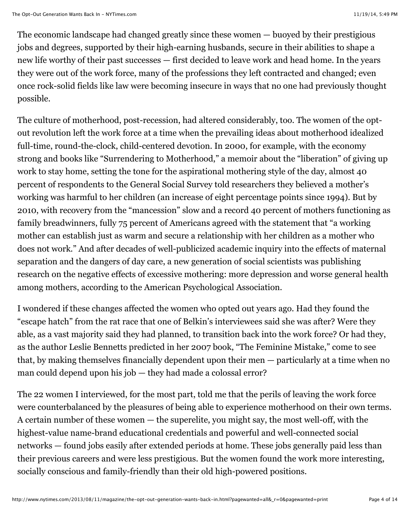The economic landscape had changed greatly since these women — buoyed by their prestigious jobs and degrees, supported by their high-earning husbands, secure in their abilities to shape a new life worthy of their past successes — first decided to leave work and head home. In the years they were out of the work force, many of the professions they left contracted and changed; even once rock-solid fields like law were becoming insecure in ways that no one had previously thought possible.

The culture of motherhood, post-recession, had altered considerably, too. The women of the optout revolution left the work force at a time when the prevailing ideas about motherhood idealized full-time, round-the-clock, child-centered devotion. In 2000, for example, with the economy strong and books like "Surrendering to Motherhood," a memoir about the "liberation" of giving up work to stay home, setting the tone for the aspirational mothering style of the day, almost 40 percent of respondents to the General Social Survey told researchers they believed a mother's working was harmful to her children (an increase of eight percentage points since 1994). But by 2010, with recovery from the "mancession" slow and a record 40 percent of mothers functioning as family breadwinners, fully 75 percent of Americans agreed with the statement that "a working mother can establish just as warm and secure a relationship with her children as a mother who does not work." And after decades of well-publicized academic inquiry into the effects of maternal separation and the dangers of day care, a new generation of social scientists was publishing research on the negative effects of excessive mothering: more depression and worse general health among mothers, according to the American Psychological Association.

I wondered if these changes affected the women who opted out years ago. Had they found the "escape hatch" from the rat race that one of Belkin's interviewees said she was after? Were they able, as a vast majority said they had planned, to transition back into the work force? Or had they, as the author Leslie Bennetts predicted in her 2007 book, "The Feminine Mistake," come to see that, by making themselves financially dependent upon their men — particularly at a time when no man could depend upon his job — they had made a colossal error?

The 22 women I interviewed, for the most part, told me that the perils of leaving the work force were counterbalanced by the pleasures of being able to experience motherhood on their own terms. A certain number of these women — the superelite, you might say, the most well-off, with the highest-value name-brand educational credentials and powerful and well-connected social networks — found jobs easily after extended periods at home. These jobs generally paid less than their previous careers and were less prestigious. But the women found the work more interesting, socially conscious and family-friendly than their old high-powered positions.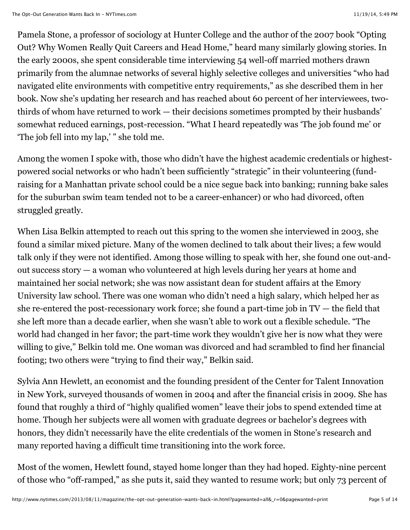Pamela Stone, a professor of sociology at Hunter College and the author of the 2007 book "Opting Out? Why Women Really Quit Careers and Head Home," heard many similarly glowing stories. In the early 2000s, she spent considerable time interviewing 54 well-off married mothers drawn primarily from the alumnae networks of several highly selective colleges and universities "who had navigated elite environments with competitive entry requirements," as she described them in her book. Now she's updating her research and has reached about 60 percent of her interviewees, twothirds of whom have returned to work — their decisions sometimes prompted by their husbands' somewhat reduced earnings, post-recession. "What I heard repeatedly was 'The job found me' or 'The job fell into my lap,' " she told me.

Among the women I spoke with, those who didn't have the highest academic credentials or highestpowered social networks or who hadn't been sufficiently "strategic" in their volunteering (fundraising for a Manhattan private school could be a nice segue back into banking; running bake sales for the suburban swim team tended not to be a career-enhancer) or who had divorced, often struggled greatly.

When Lisa Belkin attempted to reach out this spring to the women she interviewed in 2003, she found a similar mixed picture. Many of the women declined to talk about their lives; a few would talk only if they were not identified. Among those willing to speak with her, she found one out-andout success story — a woman who volunteered at high levels during her years at home and maintained her social network; she was now assistant dean for student affairs at the Emory University law school. There was one woman who didn't need a high salary, which helped her as she re-entered the post-recessionary work force; she found a part-time job in TV — the field that she left more than a decade earlier, when she wasn't able to work out a flexible schedule. "The world had changed in her favor; the part-time work they wouldn't give her is now what they were willing to give," Belkin told me. One woman was divorced and had scrambled to find her financial footing; two others were "trying to find their way," Belkin said.

Sylvia Ann Hewlett, an economist and the founding president of the Center for Talent Innovation in New York, surveyed thousands of women in 2004 and after the financial crisis in 2009. She has found that roughly a third of "highly qualified women" leave their jobs to spend extended time at home. Though her subjects were all women with graduate degrees or bachelor's degrees with honors, they didn't necessarily have the elite credentials of the women in Stone's research and many reported having a difficult time transitioning into the work force.

Most of the women, Hewlett found, stayed home longer than they had hoped. Eighty-nine percent of those who "off-ramped," as she puts it, said they wanted to resume work; but only 73 percent of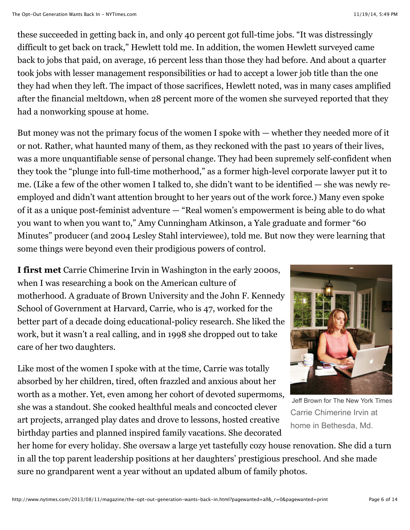these succeeded in getting back in, and only 40 percent got full-time jobs. "It was distressingly difficult to get back on track," Hewlett told me. In addition, the women Hewlett surveyed came back to jobs that paid, on average, 16 percent less than those they had before. And about a quarter took jobs with lesser management responsibilities or had to accept a lower job title than the one they had when they left. The impact of those sacrifices, Hewlett noted, was in many cases amplified after the financial meltdown, when 28 percent more of the women she surveyed reported that they had a nonworking spouse at home.

But money was not the primary focus of the women I spoke with — whether they needed more of it or not. Rather, what haunted many of them, as they reckoned with the past 10 years of their lives, was a more unquantifiable sense of personal change. They had been supremely self-confident when they took the "plunge into full-time motherhood," as a former high-level corporate lawyer put it to me. (Like a few of the other women I talked to, she didn't want to be identified — she was newly reemployed and didn't want attention brought to her years out of the work force.) Many even spoke of it as a unique post-feminist adventure — "Real women's empowerment is being able to do what you want to when you want to," Amy Cunningham Atkinson, a Yale graduate and former "60 Minutes" producer (and 2004 Lesley Stahl interviewee), told me. But now they were learning that some things were beyond even their prodigious powers of control.

**I first met** Carrie Chimerine Irvin in Washington in the early 2000s, when I was researching a book on the American culture of motherhood. A graduate of Brown University and the John F. Kennedy School of Government at Harvard, Carrie, who is 47, worked for the better part of a decade doing educational-policy research. She liked the work, but it wasn't a real calling, and in 1998 she dropped out to take care of her two daughters.

Like most of the women I spoke with at the time, Carrie was totally absorbed by her children, tired, often frazzled and anxious about her worth as a mother. Yet, even among her cohort of devoted supermoms, she was a standout. She cooked healthful meals and concocted clever art projects, arranged play dates and drove to lessons, hosted creative birthday parties and planned inspired family vacations. She decorated



Jeff Brown for The New York Times Carrie Chimerine Irvin at home in Bethesda, Md.

her home for every holiday. She oversaw a large yet tastefully cozy house renovation. She did a turn in all the top parent leadership positions at her daughters' prestigious preschool. And she made sure no grandparent went a year without an updated album of family photos.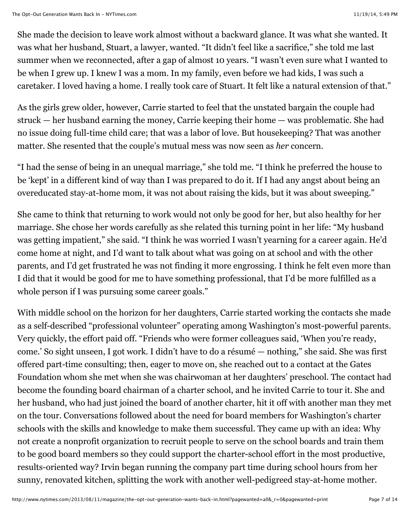She made the decision to leave work almost without a backward glance. It was what she wanted. It was what her husband, Stuart, a lawyer, wanted. "It didn't feel like a sacrifice," she told me last summer when we reconnected, after a gap of almost 10 years. "I wasn't even sure what I wanted to be when I grew up. I knew I was a mom. In my family, even before we had kids, I was such a caretaker. I loved having a home. I really took care of Stuart. It felt like a natural extension of that."

As the girls grew older, however, Carrie started to feel that the unstated bargain the couple had struck — her husband earning the money, Carrie keeping their home — was problematic. She had no issue doing full-time child care; that was a labor of love. But housekeeping? That was another matter. She resented that the couple's mutual mess was now seen as *her* concern.

"I had the sense of being in an unequal marriage," she told me. "I think he preferred the house to be 'kept' in a different kind of way than I was prepared to do it. If I had any angst about being an overeducated stay-at-home mom, it was not about raising the kids, but it was about sweeping."

She came to think that returning to work would not only be good for her, but also healthy for her marriage. She chose her words carefully as she related this turning point in her life: "My husband was getting impatient," she said. "I think he was worried I wasn't yearning for a career again. He'd come home at night, and I'd want to talk about what was going on at school and with the other parents, and I'd get frustrated he was not finding it more engrossing. I think he felt even more than I did that it would be good for me to have something professional, that I'd be more fulfilled as a whole person if I was pursuing some career goals."

With middle school on the horizon for her daughters, Carrie started working the contacts she made as a self-described "professional volunteer" operating among Washington's most-powerful parents. Very quickly, the effort paid off. "Friends who were former colleagues said, 'When you're ready, come.' So sight unseen, I got work. I didn't have to do a résumé — nothing," she said. She was first offered part-time consulting; then, eager to move on, she reached out to a contact at the Gates Foundation whom she met when she was chairwoman at her daughters' preschool. The contact had become the founding board chairman of a charter school, and he invited Carrie to tour it. She and her husband, who had just joined the board of another charter, hit it off with another man they met on the tour. Conversations followed about the need for board members for Washington's charter schools with the skills and knowledge to make them successful. They came up with an idea: Why not create a nonprofit organization to recruit people to serve on the school boards and train them to be good board members so they could support the charter-school effort in the most productive, results-oriented way? Irvin began running the company part time during school hours from her sunny, renovated kitchen, splitting the work with another well-pedigreed stay-at-home mother.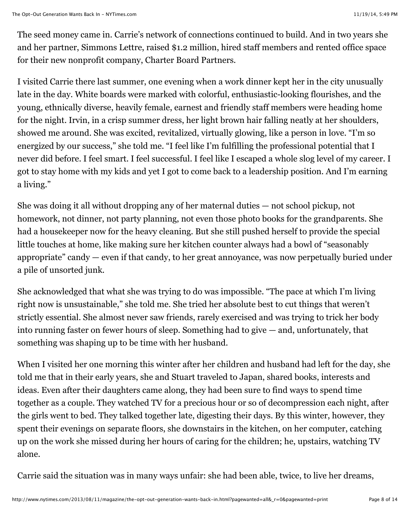The seed money came in. Carrie's network of connections continued to build. And in two years she and her partner, Simmons Lettre, raised \$1.2 million, hired staff members and rented office space for their new nonprofit company, Charter Board Partners.

I visited Carrie there last summer, one evening when a work dinner kept her in the city unusually late in the day. White boards were marked with colorful, enthusiastic-looking flourishes, and the young, ethnically diverse, heavily female, earnest and friendly staff members were heading home for the night. Irvin, in a crisp summer dress, her light brown hair falling neatly at her shoulders, showed me around. She was excited, revitalized, virtually glowing, like a person in love. "I'm so energized by our success," she told me. "I feel like I'm fulfilling the professional potential that I never did before. I feel smart. I feel successful. I feel like I escaped a whole slog level of my career. I got to stay home with my kids and yet I got to come back to a leadership position. And I'm earning a living."

She was doing it all without dropping any of her maternal duties — not school pickup, not homework, not dinner, not party planning, not even those photo books for the grandparents. She had a housekeeper now for the heavy cleaning. But she still pushed herself to provide the special little touches at home, like making sure her kitchen counter always had a bowl of "seasonably appropriate" candy — even if that candy, to her great annoyance, was now perpetually buried under a pile of unsorted junk.

She acknowledged that what she was trying to do was impossible. "The pace at which I'm living right now is unsustainable," she told me. She tried her absolute best to cut things that weren't strictly essential. She almost never saw friends, rarely exercised and was trying to trick her body into running faster on fewer hours of sleep. Something had to give — and, unfortunately, that something was shaping up to be time with her husband.

When I visited her one morning this winter after her children and husband had left for the day, she told me that in their early years, she and Stuart traveled to Japan, shared books, interests and ideas. Even after their daughters came along, they had been sure to find ways to spend time together as a couple. They watched TV for a precious hour or so of decompression each night, after the girls went to bed. They talked together late, digesting their days. By this winter, however, they spent their evenings on separate floors, she downstairs in the kitchen, on her computer, catching up on the work she missed during her hours of caring for the children; he, upstairs, watching TV alone.

Carrie said the situation was in many ways unfair: she had been able, twice, to live her dreams,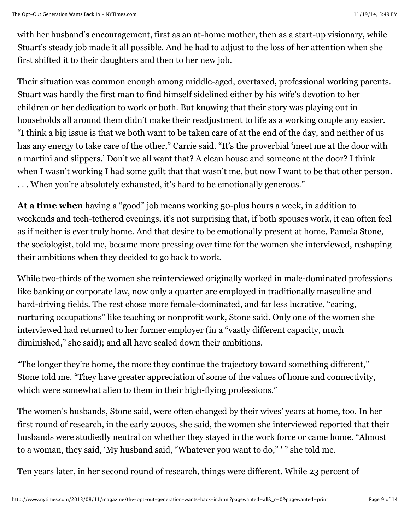with her husband's encouragement, first as an at-home mother, then as a start-up visionary, while Stuart's steady job made it all possible. And he had to adjust to the loss of her attention when she first shifted it to their daughters and then to her new job.

Their situation was common enough among middle-aged, overtaxed, professional working parents. Stuart was hardly the first man to find himself sidelined either by his wife's devotion to her children or her dedication to work or both. But knowing that their story was playing out in households all around them didn't make their readjustment to life as a working couple any easier. "I think a big issue is that we both want to be taken care of at the end of the day, and neither of us has any energy to take care of the other," Carrie said. "It's the proverbial 'meet me at the door with a martini and slippers.' Don't we all want that? A clean house and someone at the door? I think when I wasn't working I had some guilt that that wasn't me, but now I want to be that other person. . . . When you're absolutely exhausted, it's hard to be emotionally generous."

**At a time when** having a "good" job means working 50-plus hours a week, in addition to weekends and tech-tethered evenings, it's not surprising that, if both spouses work, it can often feel as if neither is ever truly home. And that desire to be emotionally present at home, Pamela Stone, the sociologist, told me, became more pressing over time for the women she interviewed, reshaping their ambitions when they decided to go back to work.

While two-thirds of the women she reinterviewed originally worked in male-dominated professions like banking or corporate law, now only a quarter are employed in traditionally masculine and hard-driving fields. The rest chose more female-dominated, and far less lucrative, "caring, nurturing occupations" like teaching or nonprofit work, Stone said. Only one of the women she interviewed had returned to her former employer (in a "vastly different capacity, much diminished," she said); and all have scaled down their ambitions.

"The longer they're home, the more they continue the trajectory toward something different," Stone told me. "They have greater appreciation of some of the values of home and connectivity, which were somewhat alien to them in their high-flying professions."

The women's husbands, Stone said, were often changed by their wives' years at home, too. In her first round of research, in the early 2000s, she said, the women she interviewed reported that their husbands were studiedly neutral on whether they stayed in the work force or came home. "Almost to a woman, they said, 'My husband said, "Whatever you want to do," ' " she told me.

Ten years later, in her second round of research, things were different. While 23 percent of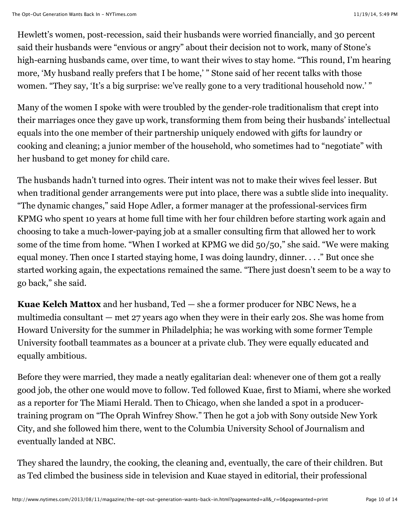Hewlett's women, post-recession, said their husbands were worried financially, and 30 percent said their husbands were "envious or angry" about their decision not to work, many of Stone's high-earning husbands came, over time, to want their wives to stay home. "This round, I'm hearing more, 'My husband really prefers that I be home,' " Stone said of her recent talks with those women. "They say, 'It's a big surprise: we've really gone to a very traditional household now.' "

Many of the women I spoke with were troubled by the gender-role traditionalism that crept into their marriages once they gave up work, transforming them from being their husbands' intellectual equals into the one member of their partnership uniquely endowed with gifts for laundry or cooking and cleaning; a junior member of the household, who sometimes had to "negotiate" with her husband to get money for child care.

The husbands hadn't turned into ogres. Their intent was not to make their wives feel lesser. But when traditional gender arrangements were put into place, there was a subtle slide into inequality. "The dynamic changes," said Hope Adler, a former manager at the professional-services firm KPMG who spent 10 years at home full time with her four children before starting work again and choosing to take a much-lower-paying job at a smaller consulting firm that allowed her to work some of the time from home. "When I worked at KPMG we did 50/50," she said. "We were making equal money. Then once I started staying home, I was doing laundry, dinner. . . ." But once she started working again, the expectations remained the same. "There just doesn't seem to be a way to go back," she said.

**Kuae Kelch Mattox** and her husband, Ted — she a former producer for NBC News, he a multimedia consultant — met 27 years ago when they were in their early 20s. She was home from Howard University for the summer in Philadelphia; he was working with some former Temple University football teammates as a bouncer at a private club. They were equally educated and equally ambitious.

Before they were married, they made a neatly egalitarian deal: whenever one of them got a really good job, the other one would move to follow. Ted followed Kuae, first to Miami, where she worked as a reporter for The Miami Herald. Then to Chicago, when she landed a spot in a producertraining program on "The Oprah Winfrey Show." Then he got a job with Sony outside New York City, and she followed him there, went to the Columbia University School of Journalism and eventually landed at NBC.

They shared the laundry, the cooking, the cleaning and, eventually, the care of their children. But as Ted climbed the business side in television and Kuae stayed in editorial, their professional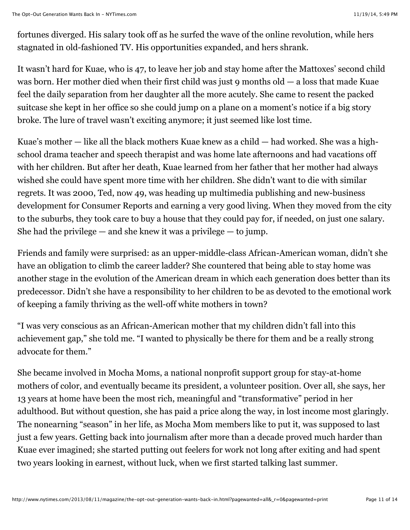fortunes diverged. His salary took off as he surfed the wave of the online revolution, while hers stagnated in old-fashioned TV. His opportunities expanded, and hers shrank.

It wasn't hard for Kuae, who is 47, to leave her job and stay home after the Mattoxes' second child was born. Her mother died when their first child was just 9 months old — a loss that made Kuae feel the daily separation from her daughter all the more acutely. She came to resent the packed suitcase she kept in her office so she could jump on a plane on a moment's notice if a big story broke. The lure of travel wasn't exciting anymore; it just seemed like lost time.

Kuae's mother — like all the black mothers Kuae knew as a child — had worked. She was a highschool drama teacher and speech therapist and was home late afternoons and had vacations off with her children. But after her death, Kuae learned from her father that her mother had always wished she could have spent more time with her children. She didn't want to die with similar regrets. It was 2000, Ted, now 49, was heading up multimedia publishing and new-business development for Consumer Reports and earning a very good living. When they moved from the city to the suburbs, they took care to buy a house that they could pay for, if needed, on just one salary. She had the privilege  $-$  and she knew it was a privilege  $-$  to jump.

Friends and family were surprised: as an upper-middle-class African-American woman, didn't she have an obligation to climb the career ladder? She countered that being able to stay home was another stage in the evolution of the American dream in which each generation does better than its predecessor. Didn't she have a responsibility to her children to be as devoted to the emotional work of keeping a family thriving as the well-off white mothers in town?

"I was very conscious as an African-American mother that my children didn't fall into this achievement gap," she told me. "I wanted to physically be there for them and be a really strong advocate for them."

She became involved in Mocha Moms, a national nonprofit support group for stay-at-home mothers of color, and eventually became its president, a volunteer position. Over all, she says, her 13 years at home have been the most rich, meaningful and "transformative" period in her adulthood. But without question, she has paid a price along the way, in lost income most glaringly. The nonearning "season" in her life, as Mocha Mom members like to put it, was supposed to last just a few years. Getting back into journalism after more than a decade proved much harder than Kuae ever imagined; she started putting out feelers for work not long after exiting and had spent two years looking in earnest, without luck, when we first started talking last summer.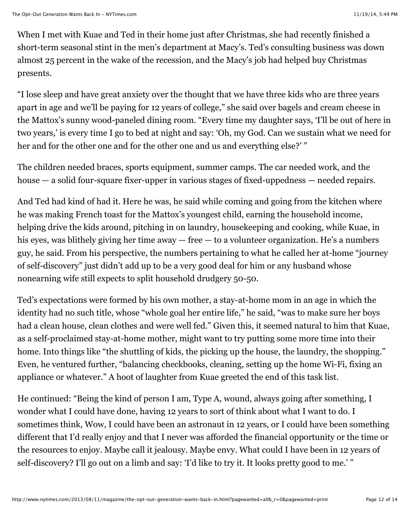When I met with Kuae and Ted in their home just after Christmas, she had recently finished a short-term seasonal stint in the men's department at Macy's. Ted's consulting business was down almost 25 percent in the wake of the recession, and the Macy's job had helped buy Christmas presents.

"I lose sleep and have great anxiety over the thought that we have three kids who are three years apart in age and we'll be paying for 12 years of college," she said over bagels and cream cheese in the Mattox's sunny wood-paneled dining room. "Every time my daughter says, 'I'll be out of here in two years,' is every time I go to bed at night and say: 'Oh, my God. Can we sustain what we need for her and for the other one and for the other one and us and everything else?'"

The children needed braces, sports equipment, summer camps. The car needed work, and the house — a solid four-square fixer-upper in various stages of fixed-uppedness — needed repairs.

And Ted had kind of had it. Here he was, he said while coming and going from the kitchen where he was making French toast for the Mattox's youngest child, earning the household income, helping drive the kids around, pitching in on laundry, housekeeping and cooking, while Kuae, in his eyes, was blithely giving her time away — free — to a volunteer organization. He's a numbers guy, he said. From his perspective, the numbers pertaining to what he called her at-home "journey of self-discovery" just didn't add up to be a very good deal for him or any husband whose nonearning wife still expects to split household drudgery 50-50.

Ted's expectations were formed by his own mother, a stay-at-home mom in an age in which the identity had no such title, whose "whole goal her entire life," he said, "was to make sure her boys had a clean house, clean clothes and were well fed." Given this, it seemed natural to him that Kuae, as a self-proclaimed stay-at-home mother, might want to try putting some more time into their home. Into things like "the shuttling of kids, the picking up the house, the laundry, the shopping." Even, he ventured further, "balancing checkbooks, cleaning, setting up the home Wi-Fi, fixing an appliance or whatever." A hoot of laughter from Kuae greeted the end of this task list.

He continued: "Being the kind of person I am, Type A, wound, always going after something, I wonder what I could have done, having 12 years to sort of think about what I want to do. I sometimes think, Wow, I could have been an astronaut in 12 years, or I could have been something different that I'd really enjoy and that I never was afforded the financial opportunity or the time or the resources to enjoy. Maybe call it jealousy. Maybe envy. What could I have been in 12 years of self-discovery? I'll go out on a limb and say: 'I'd like to try it. It looks pretty good to me.' "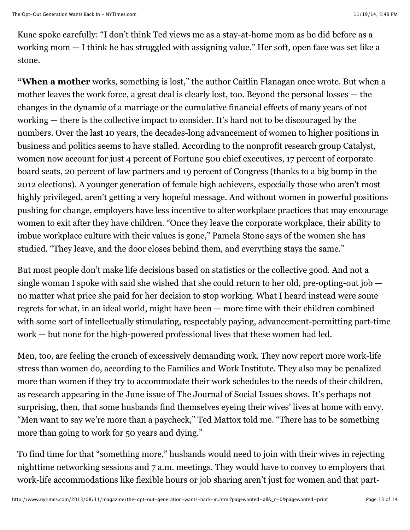Kuae spoke carefully: "I don't think Ted views me as a stay-at-home mom as he did before as a working mom — I think he has struggled with assigning value." Her soft, open face was set like a stone.

**"When a mother** works, something is lost," the author Caitlin Flanagan once wrote. But when a mother leaves the work force, a great deal is clearly lost, too. Beyond the personal losses — the changes in the dynamic of a marriage or the cumulative financial effects of many years of not working — there is the collective impact to consider. It's hard not to be discouraged by the numbers. Over the last 10 years, the decades-long advancement of women to higher positions in business and politics seems to have stalled. According to the nonprofit research group Catalyst, women now account for just 4 percent of Fortune 500 chief executives, 17 percent of corporate board seats, 20 percent of law partners and 19 percent of Congress (thanks to a big bump in the 2012 elections). A younger generation of female high achievers, especially those who aren't most highly privileged, aren't getting a very hopeful message. And without women in powerful positions pushing for change, employers have less incentive to alter workplace practices that may encourage women to exit after they have children. "Once they leave the corporate workplace, their ability to imbue workplace culture with their values is gone," Pamela Stone says of the women she has studied. "They leave, and the door closes behind them, and everything stays the same."

But most people don't make life decisions based on statistics or the collective good. And not a single woman I spoke with said she wished that she could return to her old, pre-opting-out job no matter what price she paid for her decision to stop working. What I heard instead were some regrets for what, in an ideal world, might have been — more time with their children combined with some sort of intellectually stimulating, respectably paying, advancement-permitting part-time work — but none for the high-powered professional lives that these women had led.

Men, too, are feeling the crunch of excessively demanding work. They now report more work-life stress than women do, according to the Families and Work Institute. They also may be penalized more than women if they try to accommodate their work schedules to the needs of their children, as research appearing in the June issue of The Journal of Social Issues shows. It's perhaps not surprising, then, that some husbands find themselves eyeing their wives' lives at home with envy. "Men want to say we're more than a paycheck," Ted Mattox told me. "There has to be something more than going to work for 50 years and dying."

To find time for that "something more," husbands would need to join with their wives in rejecting nighttime networking sessions and 7 a.m. meetings. They would have to convey to employers that work-life accommodations like flexible hours or job sharing aren't just for women and that part